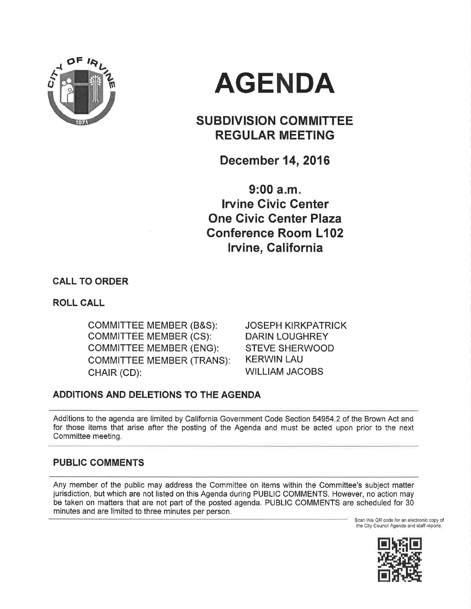

# AGENDA

# SUBDIVISION COMMITTEE REGULAR MEETING

December 14,2016

 $9:00 a.m.$ lruine Civic Center One Givic Center Plaza Gonference Room L102 lrvine, Galifornia

CALL TO ORDER

ROLL CALL

coMM|TTEE MEMBER (B&S): coMM|TTEE MEMBER (CS): COMMITTEE MEMBER (ENG): COMMITTEE MEMBER (TRANS): CHAIR (CD):

JOSEPH KIRKPATRICK DARIN LOUGHREY STEVE SHERWOOD KERWIN LAU WILLIAM JACOBS

# ADDITIONS AND DELETIONS TO THE AGENDA

Additions to the agenda are limited by California Government Code Section 54954.2 of the Brown Act and for those items that arise after the posting of the Agenda and must be acted upon prior to the next Committee meeting.

# PUBLIC COMMENTS

Any member of the public may address the Committee on items within the Committee's subject matter jurisdiction, but which are not listed on this Agenda during PUBLIC COMMENTS. However, no action may be taken on matters that are not part of the posted agenda. PUBLIC COMMENTS are scheduled for 30 minutes and are limited to three minutes per person.

Scan this QR code for an eloctronic copy of the City Council Agenda and staff reports.

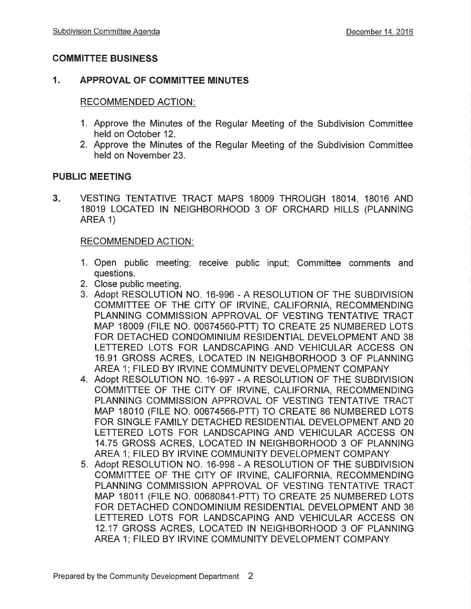# COMMITTEE BUSINESS

# 1. APPROVAL OF COMMITTEE MINUTES

### RECOMMENDED ACTION:

- 1. Approve the Minutes of the Regular Meeting of the Subdivision Committee held on October 12.
- 2. Approve the Minutes of the Regular Meeting of the Subdivision Committee held on November 23.

# PUBLIC MEETING

 $3 -$ VESTING TENTATIVE TRACT MAPS 18009 THROUGH 18014, 18016 AND 18019 LOCATED IN NEIGHBORHOOD 3 OF ORCHARD HILLS (PLANNING AREA <sup>1</sup>)

# RECOMMENDED ACTION:

- 1. Open public meeting; receive public input; Committee comments and questions.
- 2. Close public meeting.
- 3. Adopt RESOLUTION NO. 16-996 A RESOLUTION OF THE SUBDIVISION COMMITTEE OF THE CITY OF IRVINE, CALIFORNIA, RECOMMENDING PLANNING COMMISSION APPROVAL OF VESTING TENTATIVE TRACT MAP 18009 (FILE NO. 00674560-pTT) TO CREATE 25 NUMBERED LOTS FOR DETACHED CONDOMINIUM RESIDENTIAL DEVELOPMENT AND 38 LETTERED LOTS FOR LANDSCAPING AND VEHICULAR ACCESS ON 16.91 GROSS ACRES, LOCATED IN NEIGHBORHOOD 3 OF PLANNING AREA 1; FILED BY IRVINE COMMUNITY DEVELOPMENT COMPANY
- 4. Adopt RESOLUTION NO. 16-997 A RESOLUTION OF THE SUBDIVISION COMMITTEE OF THE CITY OF IRVINE, CALIFORNIA, RECOMMENDING PLANNING COMMISSION APPROVAL OF VESTING TENTATIVE TRACT MAP 18010 (F|LE NO. 00674566-PTT) TO CREATE 86 NUMBERED LOTS FOR SINGLE FAMILY DETACHED RESIDENTIAL DEVELOPMENT AND 20 LETTERED LOTS FOR LANDSCAPING AND VEHICULAR ACCESS ON 14.75 GROSS ACRES, LOCATED IN NEIGHBORHOOD 3 OF PLANNING AREA 1; FILED BY IRVINE COMMUNITY DEVELOPMENT COMPANY
- 5. Adopt RESOLUTION NO. 16-998 A RESOLUTION OF THE SUBDIVISION COMMITTEE OF THE CITY OF IRVINE, CALIFORNIA, RECOMMENDING PLANNING COMMISSION APPROVAL OF VESTING TENTATIVE TRACT MAP 18011 (F|LE NO.00680841-pTT) TO CREATE 25 NUMBERED LOTS FOR DETACHED CONDOMINIUM RESIDENTIAL DEVELOPMENT AND 36 LETTERED LOTS FOR LANDSCAPING AND VEHICULAR ACCESS ON 12.17 GROSS ACRES, LOCATED IN NEIGHBORHOOD 3 OF PLANNING AREA 1; FILED BY IRVINE COMMUNITY DEVELOPMENT COMPANY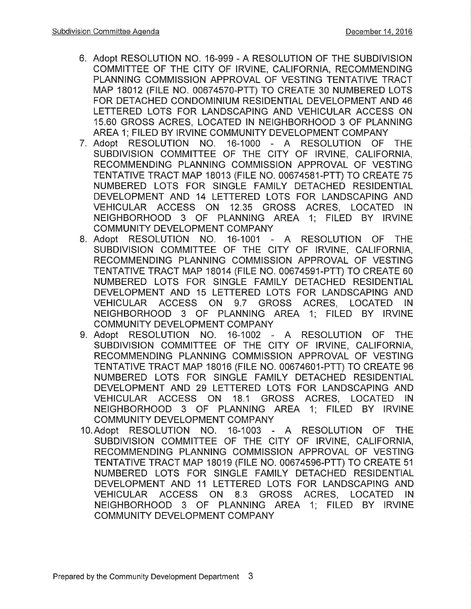- 6. Adopt RESOLUTION NO. 16-999 A RESOLUTION OF THE SUBDIVISION COMMITTEE OF THE CITY OF IRVINE, CALIFORNIA, RECOMMENDING PLANNING COMMISSION APPROVAL OF VESTING TENTATIVE TRACT MAP 18012 (FILE NO. 00674570-PTT) TO CREATE 30 NUMBERED LOTS FOR DETACHED CONDOMINIUM RESIDENTIAL DEVELOPMENT AND 46 LETTERED LOTS FOR LANDSCAPING AND VEHICULAR ACCESS ON 15.60 GROSS ACRES, LOCATED IN NEIGHBORHOOD 3 OF PLANNING AREA 1; FILED BY IRVINE COMMUNITY DEVELOPMENT COMPANY
- <sup>7</sup>. Adopt RESOLUTION NO. 16-1000 A RESOLUTION OF THE SUBDIVISION COMMITTEE OF THE CITY OF IRVINE, CALIFORNIA, RECOMMENDING PLANNING COMMISSION APPROVAL OF VESTING TENTATIVE TRACT MAP 18013 (F|LE NO. 00674581-PTT) TO CREATE 75 NUMBERED LOTS FOR SINGLE FAMILY DETACHED RESIDENTIAL DEVELOPMENT AND 14 LETTERED LOTS FOR LANDSCAPING AND VEHICULAR ACCESS ON 12.35 GROSS ACRES, LOCATED IN NEIGHBORHOOD 3 OF PLANNING AREA 1; FILED BY IRVINE COMMUNITY DEVELOPMENT COMPANY
- 8. Adopt RESOLUTION NO. 16-1001 A RESOLUTION OF THE SUBDIVISION COMMITTEE OF THE CITY OF IRVINE, CALIFORNIA, RECOMMENDING PLANNING COMMISSION APPROVAL OF VESTING TENTATTVE TRACT MAP 18014 (F|LE NO. 00674591-pTT) TO CREATE 60 NUMBERED LOTS FOR SINGLE FAMILY DETACHED RESIDENTIAL DEVELOPMENT AND 15 LETTERED LOTS FOR LANDSCAPING AND VEHICULAR ACCESS ON 9.7 GROSS ACRES, LOCATED IN NEIGHBORHOOD 3 OF PLANNING AREA 1; FILED BY IRVINE COMMUNITY DEVELOPMENT COMPANY
- 9. Adopt RESOLUTION NO. 16-1002 A RESOLUTION OF THE SUBDIVISION COMMITTEE OF THE CITY OF IRVINE, CALIFORNIA, RECOMMENDING PLANNING COMMISSION APPROVAL OF VESTING TENTATTVE TRACT MAP 18016 (F|LE NO. 00674601-PTT) TO CREATE 96 NUMBERED LOTS FOR SINGLE FAMILY DETACHED RESIDENTIAL DEVELOPMENT AND 29 LETTERED LOTS FOR LANDSCAPING AND VEHICULAR ACCESS ON 18.1 GROSS ACRES, LOCATED IN NEIGHBORHOOD 3 OF PLANNING AREA 1; FILED BY IRVINE COMMUNITY DEVELOPMENT COMPANY
- 10. Adopt RESOLUTION NO. 16-1003 A RESOLUTION OF THE SUBDIVISION COMMITTEE OF THE CITY OF IRVINE, CALIFORNIA, RECOMMENDING PLANNING COMMISSION APPROVAL OF VESTING TENTATTVE TRACT MAP 18019 (F|LE NO. 00674596-PTT) TO CREATE 51 NUMBERED LOTS FOR SINGLE FAMILY DETACHED RESIDENTIAL DEVELOPMENT AND 11 LETTERED LOTS FOR LANDSCAPING AND VEHICULAR ACCESS ON 8.3 GROSS ACRES, LOCATED IN NEIGHBORHOOD 3 OF PLANNING AREA 1; FILED BY IRVINE COMMUNITY DEVELOPMENT COMPANY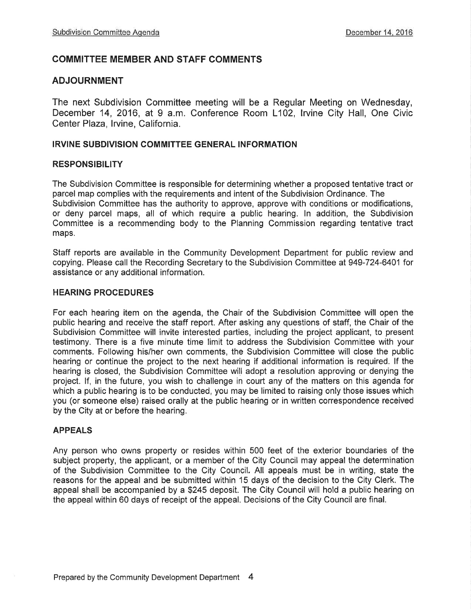# COMMITTEE MEMBER AND STAFF COMMENTS

#### ADJOURNMENT

The next Subdivision Committee meeting will be a Regular Meeting on Wednesday, December 14, 2016, at 9 a.m. Conference Room L102, lrvine City Hall, One Civic Center Plaza, Irvine, California.

#### IRVINE SUBDIVISION COMMITTEE GENERAL INFORMATION

#### **RESPONSIBILITY**

The Subdivision Committee is responsible for determining whether a proposed tentative tract or parcel map complies with the requirements and intent of the Subdivision Ordinance. The Subdivision Committee has the authority to approve, approve with conditions or modifications, or deny parcel maps, all of which require a public hearing. ln addition, the Subdivision Committee is a recommending body to the Planning Commission regarding tentative tract maps.

Staff reports are available in the Community Development Department for public review and copying. Please call the Recording Secretary to the Subdivision Committee at 949-724-6401 for assistance or any additional information.

#### HEARING PROCEDURES

For each hearing item on the agenda, the Chair of the Subdivision Committee will open the public hearing and receive the staff report. After asking any questions of staff, the Chair of the Subdivision Committee will invite interested parties, including the project applicant, to present testimony. There is a five minute time limit to address the Subdivision Committee with your comments. Following his/her own comments, the Subdivision Committee will close the public hearing or continue the project to the next hearing if additional information is required, lf the hearing is closed, the Subdivision Committee will adopt a resolution approving or denying the project. lf, in the future, you wish to challenge in court any of the matters on this agenda for which a public hearing is to be conducted, you may be limited to raising only those issues which you (or someone else) raised orally at the public hearing or in written correspondence received by the City at or before the hearing,

#### APPEALS

Any person who owns property or resides within 500 feet of the exterior boundaries of the subject property, the applicant, or a member of the City Council may appeal the determination of the Subdivision Committee to the City Council. All appeals must be in writing, state the reasons for the appeal and be submitted within 15 days of the decision to the City Clerk. The appeal shall be accompanied by a \$245 deposit. The City Council will hold a public hearing on the appeal within 60 days of receipt of the appeal, Decisions of the City Council are final.